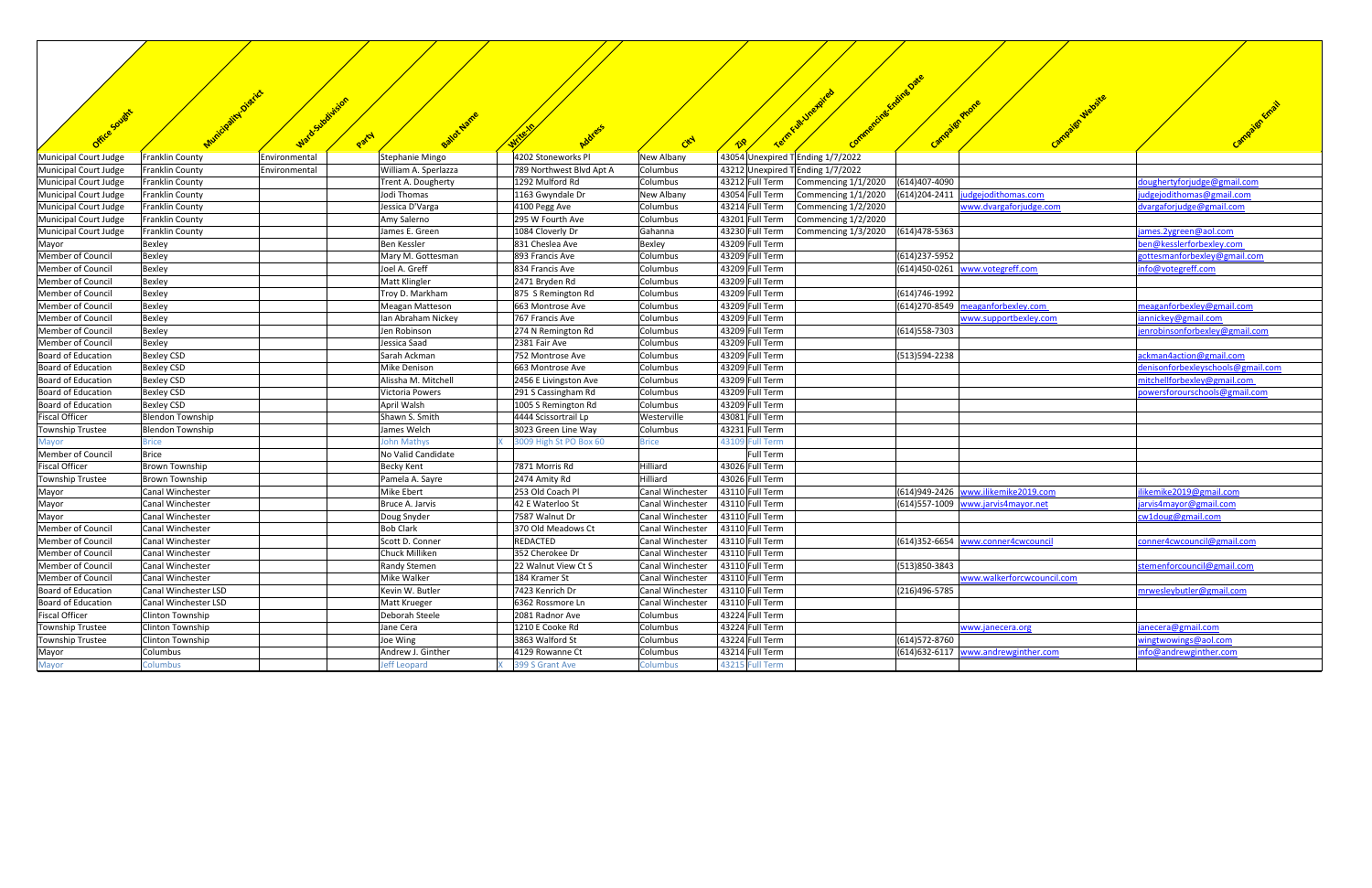|                                                | . Oistrict                                          |                                            |                                             |                      |                                                                         |                                       |                                   |
|------------------------------------------------|-----------------------------------------------------|--------------------------------------------|---------------------------------------------|----------------------|-------------------------------------------------------------------------|---------------------------------------|-----------------------------------|
|                                                | watosubsirajon                                      |                                            |                                             |                      |                                                                         | Campaign Website<br>Campigranone      |                                   |
|                                                |                                                     |                                            |                                             |                      |                                                                         |                                       |                                   |
| Office Sought                                  |                                                     | Balat Name<br>Party                        |                                             |                      |                                                                         |                                       |                                   |
|                                                |                                                     |                                            |                                             | CEN                  |                                                                         |                                       |                                   |
| Municipal Court Judge                          | Franklin County<br>Environmental                    | Stephanie Mingo                            | 4202 Stoneworks Pl                          | New Albany           | 43054 Unexpired T Ending 1/7/2022                                       |                                       |                                   |
| Municipal Court Judge                          | Franklin County<br>Environmental<br>Franklin County | William A. Sperlazza<br>Trent A. Dougherty | 789 Northwest Blvd Apt A<br>1292 Mulford Rd | Columbus<br>Columbus | 43212 Unexpired TEnding 1/7/2022<br>43212 Full Term Commencing 1/1/2020 | (614)407-4090                         | doughertyforjudge@gmail.com       |
| Municipal Court Judge<br>Municipal Court Judge | Franklin County                                     | Jodi Thomas                                | 1163 Gwyndale Dr                            | New Albany           | 43054 Full Term<br>Commencing 1/1/2020                                  | judgejodithomas.com<br>(614) 204-2411 | judgejodithomas@gmail.com         |
| Municipal Court Judge                          | Franklin County                                     | Jessica D'Varga                            | 4100 Pegg Ave                               | Columbus             | 43214 Full Term<br>Commencing 1/2/2020                                  | www.dvargaforjudge.com                | dvargaforjudge@gmail.com          |
| Municipal Court Judge                          | Franklin County                                     | Amy Salerno                                | 295 W Fourth Ave                            | Columbus             | 43201 Full Term<br>Commencing 1/2/2020                                  |                                       |                                   |
| Municipal Court Judge                          | Franklin County                                     | James E. Green                             | 1084 Cloverly Dr                            | Gahanna              | 43230 Full Term<br>Commencing 1/3/2020 (614)478-5363                    |                                       | james. 2 ygreen@aol.com           |
| Mayor                                          | Bexley                                              | Ben Kessler                                | 831 Cheslea Ave                             | <b>Bexley</b>        | 43209 Full Term                                                         |                                       | ben@kesslerforbexley.com          |
| Member of Council                              | <b>Bexley</b>                                       | Mary M. Gottesman                          | 893 Francis Ave                             | Columbus             | 43209 Full Term                                                         | (614) 237-5952                        | gottesmanforbexley@gmail.com      |
| Member of Council                              | Bexley                                              | Joel A. Greff                              | 834 Francis Ave                             | Columbus             | 43209 Full Term                                                         | (614)450-0261 www.votegreff.com       | info@votegreff.com                |
| Member of Council                              | Bexley                                              | Matt Klingler                              | 2471 Bryden Rd                              | Columbus             | 43209 Full Term                                                         |                                       |                                   |
| Member of Council                              | Bexley                                              | Troy D. Markham                            | 875 S Remington Rd                          | Columbus             | 43209 Full Term                                                         | (614)746-1992                         |                                   |
| Member of Council                              | Bexley                                              | Meagan Matteson                            | 663 Montrose Ave                            | Columbus             | 43209 Full Term                                                         | $(614)$ 270-8549 meaganforbexley.com  | meaganforbexley@gmail.com         |
| Member of Council                              | <b>Bexley</b>                                       | Ian Abraham Nickey                         | 767 Francis Ave                             | Columbus             | 43209 Full Term                                                         | www.supportbexley.com                 | iannickey@gmail.com               |
| Member of Council                              | <b>Bexley</b>                                       | Jen Robinson                               | 274 N Remington Rd                          | Columbus             | 43209 Full Term                                                         | (614) 558-7303                        | jenrobinsonforbexley@gmail.com    |
| Member of Council                              | Bexley                                              | Jessica Saad                               | 2381 Fair Ave                               | Columbus             | 43209 Full Term                                                         |                                       |                                   |
| Board of Education                             | Bexley CSD                                          | Sarah Ackman                               | 752 Montrose Ave                            | Columbus             | 43209 Full Term                                                         | (513)594-2238                         | ackman4action@gmail.com           |
| Board of Education                             | Bexley CSD                                          | Mike Denison                               | 663 Montrose Ave                            | Columbus             | 43209 Full Term                                                         |                                       | denisonforbexleyschools@gmail.com |
| Board of Education                             | <b>Bexley CSD</b>                                   | Alissha M. Mitchell                        | 2456 E Livingston Ave                       | Columbus             | 43209 Full Term                                                         |                                       | mitchellforbexley@gmail.com       |
| Board of Education                             | Bexley CSD                                          | Victoria Powers                            | 291 S Cassingham Rd                         | Columbus             | 43209 Full Term                                                         |                                       | powersforourschools@gmail.com     |
| Board of Education                             | Bexley CSD                                          | April Walsh                                | 1005 S Remington Rd                         | Columbus             | 43209 Full Term                                                         |                                       |                                   |
| <b>Fiscal Officer</b>                          | <b>Blendon Township</b>                             | Shawn S. Smith                             | 4444 Scissortrail Lp                        | Westerville          | 43081 Full Term                                                         |                                       |                                   |
| <b>Township Trustee</b>                        | <b>Blendon Township</b>                             | James Welch                                | 3023 Green Line Way                         | Columbus             | 43231 Full Term                                                         |                                       |                                   |
| Mayor                                          | <b>Brice</b>                                        | <b>John Mathys</b>                         | 3009 High St PO Box 60                      | <b>Brice</b>         | 43109 Full Term                                                         |                                       |                                   |
| Member of Council                              | <b>Brice</b>                                        | No Valid Candidate                         |                                             |                      | Full Term                                                               |                                       |                                   |
| <b>Fiscal Officer</b>                          | Brown Township                                      | Becky Kent                                 | 7871 Morris Rd                              | Hilliard             | 43026 Full Term                                                         |                                       |                                   |
| <b>Township Trustee</b>                        | Brown Township                                      | Pamela A. Sayre                            | 2474 Amity Rd                               | Hilliard             | 43026 Full Term                                                         |                                       |                                   |
| Mayor                                          | Canal Winchester                                    | <b>Mike Ebert</b>                          | 253 Old Coach Pl                            | Canal Winchester     | 43110 Full Term                                                         | (614)949-2426 www.ilikemike2019.com   | ilikemike2019@gmail.com           |
| Mayor                                          | Canal Winchester                                    | Bruce A. Jarvis                            | 42 E Waterloo St                            | Canal Winchester     | 43110 Full Term                                                         | (614)557-1009 www.jarvis4mayor.net    | jarvis4mayor@gmail.com            |
| Mayor                                          | Canal Winchester                                    | Doug Snyder                                | 7587 Walnut Dr                              | Canal Winchester     | 43110 Full Term                                                         |                                       | cw1doug@gmail.com                 |
| Member of Council                              | Canal Winchester                                    | <b>Bob Clark</b>                           | 370 Old Meadows Ct                          | Canal Winchester     | 43110 Full Term                                                         |                                       |                                   |
| <b>Member of Council</b>                       | Canal Winchester                                    | Scott D. Conner                            | REDACTED                                    | Canal Winchester     | 43110 Full Term                                                         | (614)352-6654 www.conner4cwcouncil    | conner4cwcouncil@gmail.com        |
| Member of Council                              | Canal Winchester                                    | Chuck Milliken                             | 352 Cherokee Dr                             | Canal Winchester     | 43110 Full Term                                                         |                                       |                                   |
| Member of Council                              | Canal Winchester                                    | Randy Stemen                               | 22 Walnut View Ct S                         | Canal Winchester     | 43110 Full Term                                                         | (513)850-3843                         | stemenforcouncil@gmail.com        |
| Member of Council                              | Canal Winchester                                    | Mike Walker                                | 184 Kramer St                               | Canal Winchester     | 43110 Full Term                                                         | www.walkerforcwcouncil.com            |                                   |
| Board of Education                             | Canal Winchester LSD                                | Kevin W. Butler                            | 7423 Kenrich Dr                             | Canal Winchester     | 43110 Full Term                                                         | (216)496-5785                         | mrwesleybutler@gmail.com          |
| Board of Education                             | Canal Winchester LSD                                | Matt Krueger                               | 6362 Rossmore Ln                            | Canal Winchester     | 43110 Full Term                                                         |                                       |                                   |
| <b>Fiscal Officer</b>                          | Clinton Township                                    | Deborah Steele                             | 2081 Radnor Ave                             | Columbus             | 43224 Full Term                                                         |                                       |                                   |
| <b>Township Trustee</b>                        | Clinton Township                                    | Jane Cera                                  | 1210 E Cooke Rd                             | Columbus             | 43224 Full Term                                                         | www.janecera.org                      | janecera@gmail.com                |
| <b>Township Trustee</b>                        | Clinton Township                                    | Joe Wing                                   | 3863 Walford St                             | Columbus             | 43224 Full Term                                                         | (614) 572-8760                        | wingtwowings@aol.com              |
| Mayor                                          | Columbus                                            | Andrew J. Ginther                          | 4129 Rowanne Ct                             | Columbus             | 43214 Full Term                                                         | (614)632-6117 www.andrewginther.com   | info@andrewginther.com            |
| Mayor                                          | Columbus                                            | Jeff Leopard                               | 399 S Grant Ave                             | Columbus             | 43215 Full Term                                                         |                                       |                                   |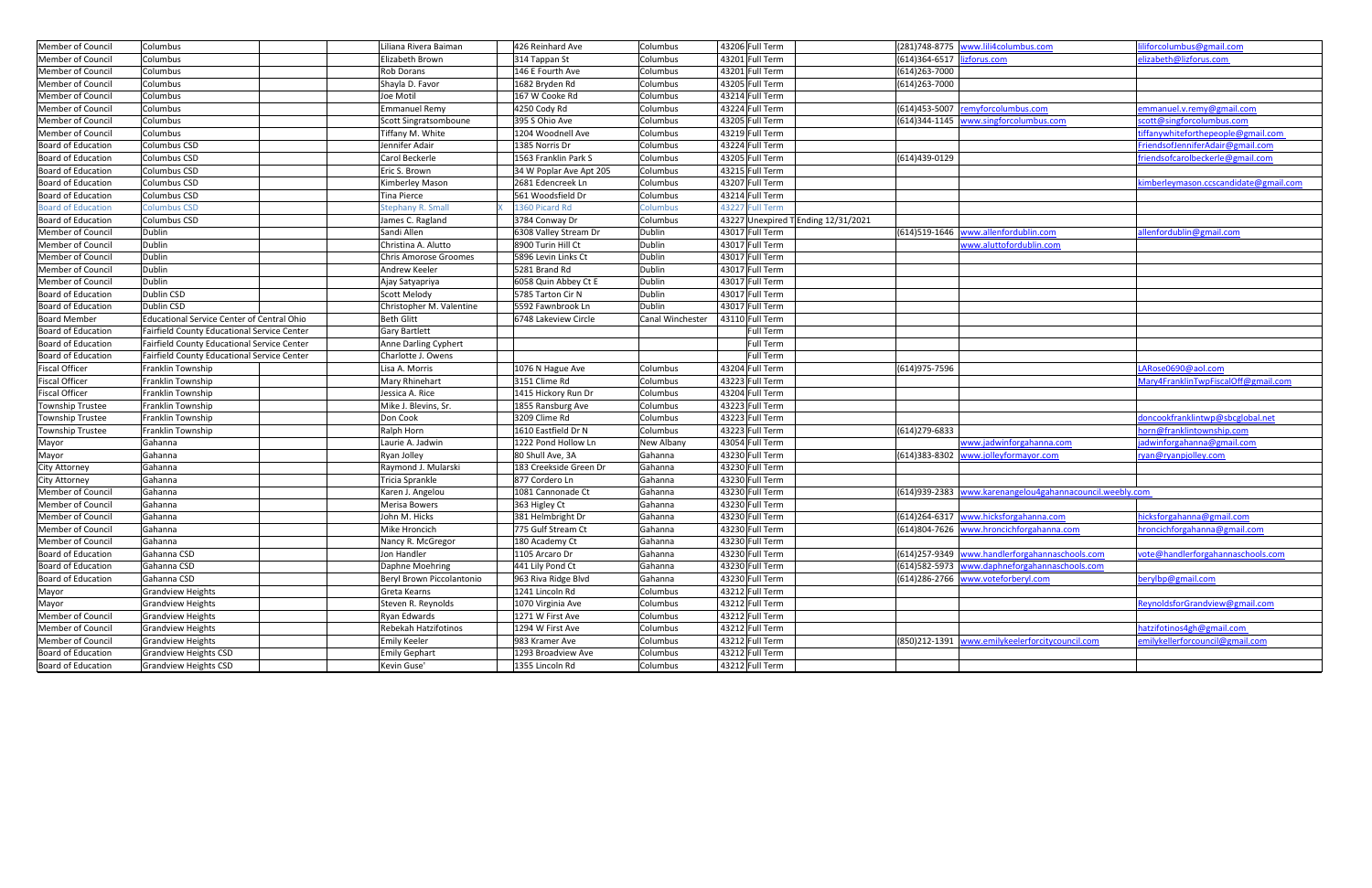| Member of Council         | Columbus                                           | Liliana Rivera Baiman       | 426 Reinhard Ave        | Columbus         | 43206 Full Term                     |                             | (281)748-8775 www.lili4columbus.com                      | iforcolumbus@gmail.com                |
|---------------------------|----------------------------------------------------|-----------------------------|-------------------------|------------------|-------------------------------------|-----------------------------|----------------------------------------------------------|---------------------------------------|
| Member of Council         | Columbus                                           | Elizabeth Brown             | 314 Tappan St           | Columbus         | 43201 Full Term                     | (614)364-6517  lizforus.com |                                                          | elizabeth@lizforus.com                |
| Member of Council         | Columbus                                           | <b>Rob Dorans</b>           | 146 E Fourth Ave        | Columbus         | 43201 Full Term                     | (614) 263-7000              |                                                          |                                       |
| Member of Council         | Columbus                                           | Shayla D. Favor             | 1682 Bryden Rd          | Columbus         | 43205 Full Term                     | (614) 263-7000              |                                                          |                                       |
| Member of Council         | Columbus                                           | Joe Motil                   | 167 W Cooke Rd          | Columbus         | 43214 Full Term                     |                             |                                                          |                                       |
| Member of Council         | Columbus                                           | Emmanuel Remy               | 4250 Cody Rd            | Columbus         | 43224 Full Term                     |                             | (614)453-5007 remyforcolumbus.com                        | emmanuel.v.remy@gmail.com             |
| Member of Council         | Columbus                                           | Scott Singratsomboune       | 395 S Ohio Ave          | Columbus         | 43205 Full Term                     |                             | (614)344-1145 www.singforcolumbus.com                    | scott@singforcolumbus.com             |
| Member of Council         | Columbus                                           | Tiffany M. White            | 1204 Woodnell Ave       | Columbus         | 43219 Full Term                     |                             |                                                          | :iffanywhiteforthepeople@gmail.com    |
| Board of Education        | Columbus CSD                                       | Jennifer Adair              | 1385 Norris Dr          | Columbus         | 43224 Full Term                     |                             |                                                          | FriendsofJenniferAdair@gmail.com      |
| <b>Board of Education</b> | Columbus CSD                                       | Carol Beckerle              | 1563 Franklin Park S    | Columbus         | 43205 Full Term                     | (614)439-0129               |                                                          | friendsofcarolbeckerle@gmail.com      |
| Board of Education        | Columbus CSD                                       | Eric S. Brown               | 34 W Poplar Ave Apt 205 | Columbus         | 43215 Full Term                     |                             |                                                          |                                       |
| Board of Education        | Columbus CSD                                       | Kimberley Mason             | 2681 Edencreek Ln       | Columbus         | 43207 Full Term                     |                             |                                                          | kimberleymason.ccscandidate@gmail.com |
| <b>Board of Education</b> | Columbus CSD                                       | <b>Tina Pierce</b>          | 561 Woodsfield Dr       | Columbus         | 43214 Full Term                     |                             |                                                          |                                       |
| <b>Board of Education</b> | <b>Columbus CSD</b>                                | <b>Stephany R. Small</b>    | 1360 Picard Rd          | Columbus         | 43227 Full Term                     |                             |                                                          |                                       |
| Board of Education        | Columbus CSD                                       | James C. Ragland            | 3784 Conway Dr          | Columbus         | 43227 Unexpired T Ending 12/31/2021 |                             |                                                          |                                       |
| Member of Council         | <b>Dublin</b>                                      | Sandi Allen                 | 6308 Valley Stream Dr   | Dublin           | 43017 Full Term                     |                             | (614)519-1646 www.allenfordublin.com                     | allenfordublin@gmail.com              |
| Member of Council         | Dublin                                             | Christina A. Alutto         | 8900 Turin Hill Ct      | Dublin           | 43017 Full Term                     |                             | www.aluttofordublin.com                                  |                                       |
| Member of Council         | <b>Dublin</b>                                      | Chris Amorose Groomes       | 5896 Levin Links Ct     | Dublin           | 43017 Full Term                     |                             |                                                          |                                       |
| Member of Council         | <b>Dublin</b>                                      | Andrew Keeler               | 5281 Brand Rd           | Dublin           | 43017 Full Term                     |                             |                                                          |                                       |
| Member of Council         | Dublin                                             | Ajay Satyapriya             | 6058 Quin Abbey Ct E    | Dublin           | 43017 Full Term                     |                             |                                                          |                                       |
| Board of Education        | Dublin CSD                                         | Scott Melody                | 5785 Tarton Cir N       | Dublin           | 43017 Full Term                     |                             |                                                          |                                       |
| Board of Education        | Dublin CSD                                         | Christopher M. Valentine    | 5592 Fawnbrook Ln       | Dublin           | 43017 Full Term                     |                             |                                                          |                                       |
| <b>Board Member</b>       | <b>Educational Service Center of Central Ohio</b>  | <b>Beth Glitt</b>           | 6748 Lakeview Circle    | Canal Winchester | 43110 Full Term                     |                             |                                                          |                                       |
| Board of Education        | Fairfield County Educational Service Center        | <b>Gary Bartlett</b>        |                         |                  | <b>Full Term</b>                    |                             |                                                          |                                       |
| Board of Education        | Fairfield County Educational Service Center        | Anne Darling Cyphert        |                         |                  | Full Term                           |                             |                                                          |                                       |
| Board of Education        | <b>Fairfield County Educational Service Center</b> | Charlotte J. Owens          |                         |                  | <b>Full Term</b>                    |                             |                                                          |                                       |
| <b>Fiscal Officer</b>     | Franklin Township                                  | Lisa A. Morris              | 1076 N Hague Ave        | Columbus         | 43204 Full Term                     | (614) 975-7596              |                                                          | LARose0690@aol.com                    |
| <b>Fiscal Officer</b>     | Franklin Township                                  | Mary Rhinehart              | 3151 Clime Rd           | Columbus         | 43223 Full Term                     |                             |                                                          | Mary4FranklinTwpFiscalOff@gmail.com   |
| <b>Fiscal Officer</b>     | Franklin Township                                  | Jessica A. Rice             | 1415 Hickory Run Dr     | Columbus         | 43204 Full Term                     |                             |                                                          |                                       |
| Township Trustee          | Franklin Township                                  | Mike J. Blevins, Sr.        | 1855 Ransburg Ave       | Columbus         | 43223 Full Term                     |                             |                                                          |                                       |
| Township Trustee          | Franklin Township                                  | Don Cook                    | 3209 Clime Rd           | Columbus         | 43223 Full Term                     |                             |                                                          | doncookfranklintwp@sbcglobal.net      |
| Township Trustee          | Franklin Township                                  | Ralph Horn                  | 1610 Eastfield Dr N     | Columbus         | 43223 Full Term                     | (614) 279-6833              |                                                          | norn@franklintownship.com             |
| Mayor                     | Gahanna                                            | Laurie A. Jadwin            | 1222 Pond Hollow Ln     | New Albany       | 43054 Full Term                     |                             | www.jadwinforgahanna.com                                 | adwinforgahanna@gmail.com             |
| Mayor                     | Gahanna                                            | Ryan Jolley                 | 80 Shull Ave, 3A        | Gahanna          | 43230 Full Term                     |                             | (614)383-8302 www.jolleyformayor.com                     | ryan@ryanpjolley.com                  |
| <b>City Attorney</b>      | Gahanna                                            | Raymond J. Mularski         | 183 Creekside Green Dr  | Gahanna          | 43230 Full Term                     |                             |                                                          |                                       |
| City Attorney             | Gahanna                                            | Tricia Sprankle             | 877 Cordero Ln          | Gahanna          | 43230 Full Term                     |                             |                                                          |                                       |
| Member of Council         | Gahanna                                            | Karen J. Angelou            | 1081 Cannonade Ct       | Gahanna          | 43230 Full Term                     |                             | (614)939-2383 www.karenangelou4gahannacouncil.weebly.com |                                       |
| Member of Council         | Gahanna                                            | <b>Merisa Bowers</b>        | 363 Higley Ct           | Gahanna          | 43230 Full Term                     |                             |                                                          |                                       |
| Member of Council         | Gahanna                                            | John M. Hicks               | 381 Helmbright Dr       | Gahanna          | 43230 Full Term                     |                             | (614)264-6317 www.hicksforgahanna.com                    | nicksforgahanna@gmail.com             |
| Member of Council         | Gahanna                                            | Mike Hroncich               | 775 Gulf Stream Ct      | Gahanna          | 43230 Full Term                     |                             | (614)804-7626 www.hroncichforgahanna.com                 | hroncichforgahanna@gmail.com          |
| Member of Council         | Gahanna                                            | Nancy R. McGregor           | 180 Academy Ct          | Gahanna          | 43230 Full Term                     |                             |                                                          |                                       |
| Board of Education        | Gahanna CSD                                        | Jon Handler                 | 1105 Arcaro Dr          | Gahanna          | 43230 Full Term                     |                             | (614)257-9349 www.handlerforgahannaschools.com           | vote@handlerforgahannaschools.com     |
| Board of Education        | Gahanna CSD                                        | Daphne Moehring             | 441 Lily Pond Ct        | Gahanna          | 43230 Full Term                     |                             | (614)582-5973 www.daphneforgahannaschools.com            |                                       |
| Board of Education        | Gahanna CSD                                        | Beryl Brown Piccolantonio   | 963 Riva Ridge Blvd     | Gahanna          | 43230 Full Term                     |                             | (614)286-2766 www.voteforberyl.com                       | berylbp@gmail.com                     |
| Mayor                     | <b>Grandview Heights</b>                           | Greta Kearns                | 1241 Lincoln Rd         | Columbus         | 43212 Full Term                     |                             |                                                          |                                       |
| Mayor                     | <b>Grandview Heights</b>                           | Steven R. Reynolds          | 1070 Virginia Ave       | Columbus         | 43212 Full Term                     |                             |                                                          | ReynoldsforGrandview@gmail.com        |
| Member of Council         | Grandview Heights                                  | Ryan Edwards                | 1271 W First Ave        | Columbus         | 43212 Full Term                     |                             |                                                          |                                       |
| Member of Council         | <b>Grandview Heights</b>                           | <b>Rebekah Hatzifotinos</b> | 1294 W First Ave        | Columbus         | 43212 Full Term                     |                             |                                                          | hatzifotinos4gh@gmail.com             |
| Member of Council         | <b>Grandview Heights</b>                           | <b>Emily Keeler</b>         | 983 Kramer Ave          | Columbus         | 43212 Full Term                     |                             | (850)212-1391 www.emilykeelerforcitycouncil.com          | emilykellerforcouncil@gmail.com       |
| Board of Education        | <b>Grandview Heights CSD</b>                       | <b>Emily Gephart</b>        | 1293 Broadview Ave      | Columbus         | 43212 Full Term                     |                             |                                                          |                                       |
| <b>Board of Education</b> | <b>Grandview Heights CSD</b>                       | Kevin Guse'                 | 1355 Lincoln Rd         | Columbus         | 43212 Full Term                     |                             |                                                          |                                       |
|                           |                                                    |                             |                         |                  |                                     |                             |                                                          |                                       |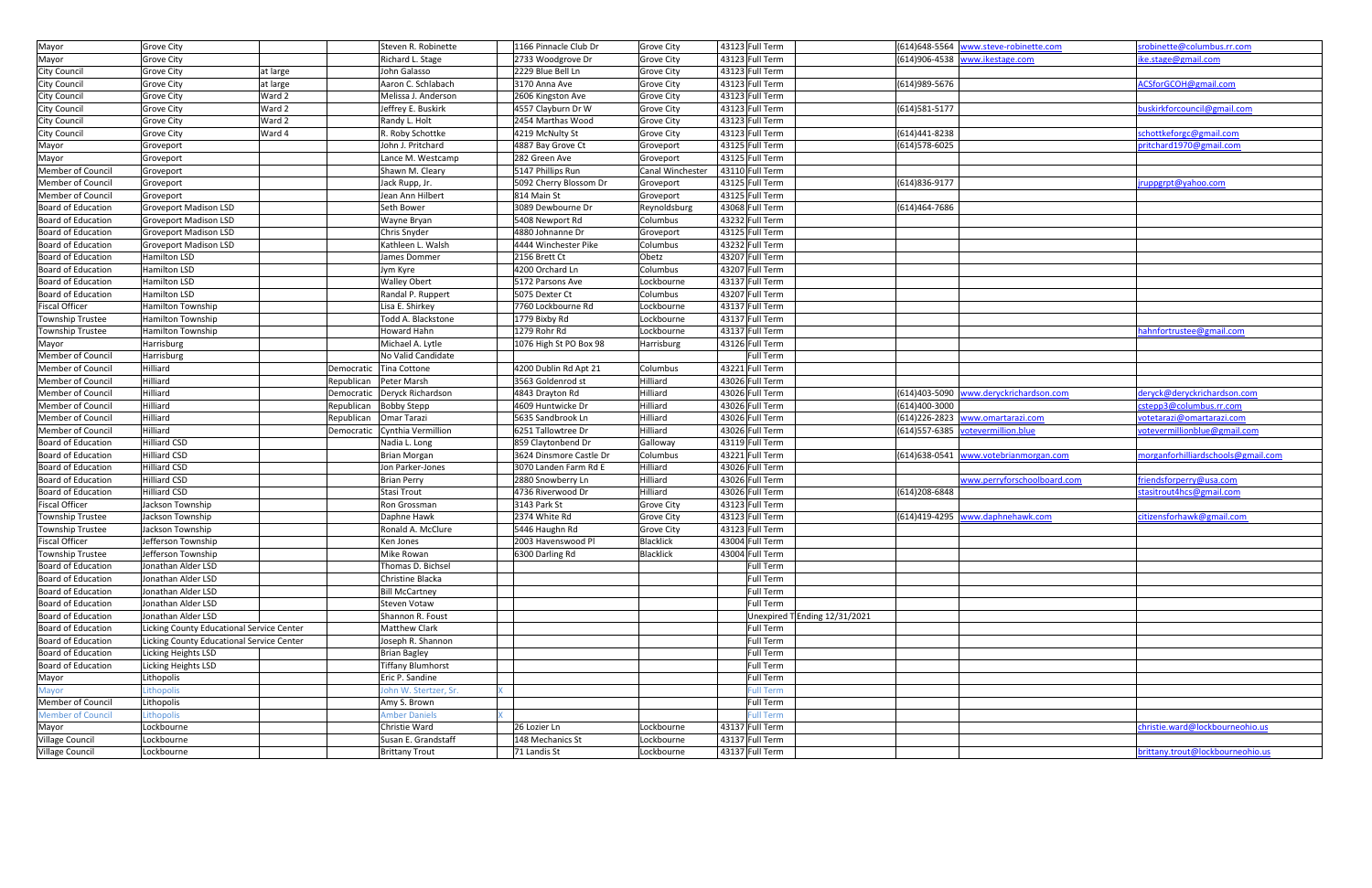| Mayor                    | <b>Grove City</b>                         |            | Steven R. Robinette            | 1166 Pinnacle Club Dr   | Grove City        | 43123 Full Term  |                               |                | (614)648-5564 www.steve-robinette.com  | srobinette@columbus.rr.com         |
|--------------------------|-------------------------------------------|------------|--------------------------------|-------------------------|-------------------|------------------|-------------------------------|----------------|----------------------------------------|------------------------------------|
| Mayor                    | Grove City                                |            | Richard L. Stage               | 2733 Woodgrove Dr       | Grove City        | 43123 Full Term  |                               |                | (614)906-4538 www.ikestage.com         | ike.stage@gmail.com                |
| City Council             | <b>Grove City</b>                         | at large   | John Galasso                   | 2229 Blue Bell Ln       | <b>Grove City</b> | 43123 Full Term  |                               |                |                                        |                                    |
| City Council             | <b>Grove City</b>                         | at large   | Aaron C. Schlabach             | 3170 Anna Ave           | <b>Grove City</b> | 43123 Full Term  |                               | (614) 989-5676 |                                        | ACSforGCOH@gmail.com               |
| City Council             | <b>Grove City</b>                         | Ward 2     | Melissa J. Anderson            | 2606 Kingston Ave       | <b>Grove City</b> | 43123 Full Term  |                               |                |                                        |                                    |
| City Council             | <b>Grove City</b>                         | Ward 2     | Jeffrey E. Buskirk             | 4557 Clayburn Dr W      | <b>Grove City</b> | 43123 Full Term  |                               | (614) 581-5177 |                                        | buskirkforcouncil@gmail.com        |
| City Council             | <b>Grove City</b>                         | Ward 2     | Randy L. Holt                  | 2454 Marthas Wood       | <b>Grove City</b> | 43123 Full Term  |                               |                |                                        |                                    |
| <b>City Council</b>      | Grove City                                | Ward 4     | R. Roby Schottke               | 4219 McNulty St         | <b>Grove City</b> | 43123 Full Term  |                               | (614)441-8238  |                                        | schottkeforgc@gmail.com            |
| Mayor                    | Groveport                                 |            | John J. Pritchard              | 4887 Bay Grove Ct       | Groveport         | 43125 Full Term  |                               | (614) 578-6025 |                                        | pritchard1970@gmail.com            |
| Mayor                    | Groveport                                 |            | Lance M. Westcamp              | 282 Green Ave           | Groveport         | 43125 Full Term  |                               |                |                                        |                                    |
| Member of Council        | Groveport                                 |            | Shawn M. Cleary                | 5147 Phillips Run       | Canal Winchester  | 43110 Full Term  |                               |                |                                        |                                    |
| Member of Council        | Groveport                                 |            | Jack Rupp, Jr.                 | 5092 Cherry Blossom Dr  | Groveport         | 43125 Full Term  |                               | (614) 836-9177 |                                        | jruppgrpt@yahoo.com                |
| Member of Council        | Groveport                                 |            | Jean Ann Hilbert               | 814 Main St             | Groveport         | 43125 Full Term  |                               |                |                                        |                                    |
| Board of Education       | <b>Groveport Madison LSD</b>              |            | Seth Bower                     | 3089 Dewbourne Dr       | Reynoldsburg      | 43068 Full Term  |                               | (614)464-7686  |                                        |                                    |
| Board of Education       | <b>Groveport Madison LSD</b>              |            | Wayne Bryan                    | 5408 Newport Rd         | Columbus          | 43232 Full Term  |                               |                |                                        |                                    |
| Board of Education       | <b>Groveport Madison LSD</b>              |            | Chris Snyder                   | 4880 Johnanne Dr        | Groveport         | 43125 Full Term  |                               |                |                                        |                                    |
| Board of Education       | <b>Groveport Madison LSD</b>              |            | Kathleen L. Walsh              | 4444 Winchester Pike    | Columbus          | 43232 Full Term  |                               |                |                                        |                                    |
| Board of Education       | Hamilton LSD                              |            | James Dommer                   | 2156 Brett Ct           | Obetz             | 43207 Full Term  |                               |                |                                        |                                    |
| Board of Education       | Hamilton LSD                              |            | Jym Kyre                       | 4200 Orchard Ln         | Columbus          | 43207 Full Term  |                               |                |                                        |                                    |
| Board of Education       | Hamilton LSD                              |            | <b>Walley Obert</b>            | 5172 Parsons Ave        | Lockbourne        | 43137 Full Term  |                               |                |                                        |                                    |
| Board of Education       | Hamilton LSD                              |            | Randal P. Ruppert              | 5075 Dexter Ct          | Columbus          | 43207 Full Term  |                               |                |                                        |                                    |
| <b>Fiscal Officer</b>    | <b>Hamilton Township</b>                  |            | Lisa E. Shirkey                | 7760 Lockbourne Rd      | Lockbourne        | 43137 Full Term  |                               |                |                                        |                                    |
| <b>Township Trustee</b>  | <b>Hamilton Township</b>                  |            | Todd A. Blackstone             | 1779 Bixby Rd           | Lockbourne        | 43137 Full Term  |                               |                |                                        |                                    |
| <b>Township Trustee</b>  | Hamilton Township                         |            | Howard Hahn                    | 1279 Rohr Rd            | Lockbourne        | 43137 Full Term  |                               |                |                                        | hahnfortrustee@gmail.com           |
| Mayor                    | Harrisburg                                |            | Michael A. Lytle               | 1076 High St PO Box 98  | Harrisburg        | 43126 Full Term  |                               |                |                                        |                                    |
| Member of Council        | Harrisburg                                |            | No Valid Candidate             |                         |                   | Full Term        |                               |                |                                        |                                    |
| Member of Council        | Hilliard                                  |            | Democratic   Tina Cottone      | 4200 Dublin Rd Apt 21   | Columbus          | 43221 Full Term  |                               |                |                                        |                                    |
| Member of Council        | Hilliard                                  |            | Republican   Peter Marsh       | 3563 Goldenrod st       | Hilliard          | 43026 Full Term  |                               |                |                                        |                                    |
| Member of Council        | Hilliard                                  |            | Democratic   Deryck Richardson | 4843 Drayton Rd         | Hilliard          | 43026 Full Term  |                               |                | (614)403-5090 www.deryckrichardson.com | deryck@deryckrichardson.com        |
| Member of Council        | Hilliard                                  | Republican | <b>Bobby Stepp</b>             | 4609 Huntwicke Dr       | Hilliard          | 43026 Full Term  |                               | (614)400-3000  |                                        | cstepp3@columbus.rr.com            |
| Member of Council        | Hilliard                                  | Republican | Omar Tarazi                    | 5635 Sandbrook Ln       | Hilliard          | 43026 Full Term  |                               |                | (614)226-2823 www.omartarazi.com       | votetarazi@omartarazi.com          |
| Member of Council        | Hilliard                                  |            | Democratic Cynthia Vermillion  | 6251 Tallowtree Dr      | Hilliard          | 43026 Full Term  |                               |                | (614)557-6385 votevermillion.blue      | votevermillionblue@gmail.com       |
| Board of Education       | Hilliard CSD                              |            | Nadia L. Long                  | 859 Claytonbend Dr      | Galloway          | 43119 Full Term  |                               |                |                                        |                                    |
| Board of Education       | <b>Hilliard CSD</b>                       |            | <b>Brian Morgan</b>            | 3624 Dinsmore Castle Dr | Columbus          | 43221 Full Term  |                               |                | (614)638-0541 www.votebrianmorgan.com  | morganforhilliardschools@gmail.com |
| Board of Education       | Hilliard CSD                              |            | Jon Parker-Jones               | 3070 Landen Farm Rd E   | Hilliard          | 43026 Full Term  |                               |                |                                        |                                    |
| Board of Education       | <b>Hilliard CSD</b>                       |            | <b>Brian Perry</b>             | 2880 Snowberry Ln       | Hilliard          | 43026 Full Term  |                               |                | www.perryforschoolboard.com            | friendsforperry@usa.com            |
| Board of Education       | <b>Hilliard CSD</b>                       |            | Stasi Trout                    | 4736 Riverwood Dr       | Hilliard          | 43026 Full Term  |                               | (614)208-6848  |                                        | stasitrout4hcs@gmail.com           |
| <b>Fiscal Officer</b>    | Jackson Township                          |            | Ron Grossman                   | 3143 Park St            | <b>Grove City</b> | 43123 Full Term  |                               |                |                                        |                                    |
| Township Trustee         | Jackson Township                          |            | Daphne Hawk                    | 2374 White Rd           | Grove City        | 43123 Full Term  |                               |                | (614)419-4295 www.daphnehawk.com       | citizensforhawk@gmail.com          |
| <b>Township Trustee</b>  | Jackson Township                          |            | Ronald A. McClure              | 5446 Haughn Rd          | Grove City        | 43123 Full Term  |                               |                |                                        |                                    |
| <b>Fiscal Officer</b>    | Jefferson Township                        |            | Ken Jones                      | 2003 Havenswood Pl      | <b>Blacklick</b>  | 43004 Full Term  |                               |                |                                        |                                    |
| <b>Township Trustee</b>  | Jefferson Township                        |            | Mike Rowan                     | 6300 Darling Rd         | <b>Blacklick</b>  | 43004 Full Term  |                               |                |                                        |                                    |
| Board of Education       | Jonathan Alder LSD                        |            | Thomas D. Bichsel              |                         |                   | Full Term        |                               |                |                                        |                                    |
| Board of Education       | Jonathan Alder LSD                        |            | Christine Blacka               |                         |                   | Full Term        |                               |                |                                        |                                    |
| Board of Education       | Jonathan Alder LSD                        |            | <b>Bill McCartney</b>          |                         |                   | Full Term        |                               |                |                                        |                                    |
| Board of Education       | Jonathan Alder LSD                        |            | <b>Steven Votaw</b>            |                         |                   | Full Term        |                               |                |                                        |                                    |
| Board of Education       | Jonathan Alder LSD                        |            | Shannon R. Foust               |                         |                   |                  | Unexpired T Ending 12/31/2021 |                |                                        |                                    |
| Board of Education       | Licking County Educational Service Center |            | Matthew Clark                  |                         |                   | Full Term        |                               |                |                                        |                                    |
| Board of Education       | Licking County Educational Service Center |            | Joseph R. Shannon              |                         |                   | Full Term        |                               |                |                                        |                                    |
| Board of Education       | Licking Heights LSD                       |            | <b>Brian Bagley</b>            |                         |                   | <b>Full Term</b> |                               |                |                                        |                                    |
| Board of Education       | Licking Heights LSD                       |            | <b>Tiffany Blumhorst</b>       |                         |                   | Full Term        |                               |                |                                        |                                    |
| Mayor                    | Lithopolis                                |            | Eric P. Sandine                |                         |                   | Full Term        |                               |                |                                        |                                    |
| Mayor                    | Lithopolis                                |            | John W. Stertzer, Sr.          |                         |                   | <b>Full Term</b> |                               |                |                                        |                                    |
| Member of Council        | Lithopolis                                |            | Amy S. Brown                   |                         |                   | Full Term        |                               |                |                                        |                                    |
| <b>Member of Council</b> | Lithopolis                                |            | <b>Amber Daniels</b>           |                         |                   | <b>Full Term</b> |                               |                |                                        |                                    |
| Mayor                    | Lockbourne                                |            | Christie Ward                  | 26 Lozier Ln            | Lockbourne        | 43137 Full Term  |                               |                |                                        | christie.ward@lockbourneohio.us    |
| Village Council          | Lockbourne                                |            | Susan E. Grandstaff            | 148 Mechanics St        | Lockbourne        | 43137 Full Term  |                               |                |                                        |                                    |
| Village Council          | Lockbourne                                |            | <b>Brittany Trout</b>          | 71 Landis St            | Lockbourne        | 43137 Full Term  |                               |                |                                        | brittany.trout@lockbourneohio.us   |
|                          |                                           |            |                                |                         |                   |                  |                               |                |                                        |                                    |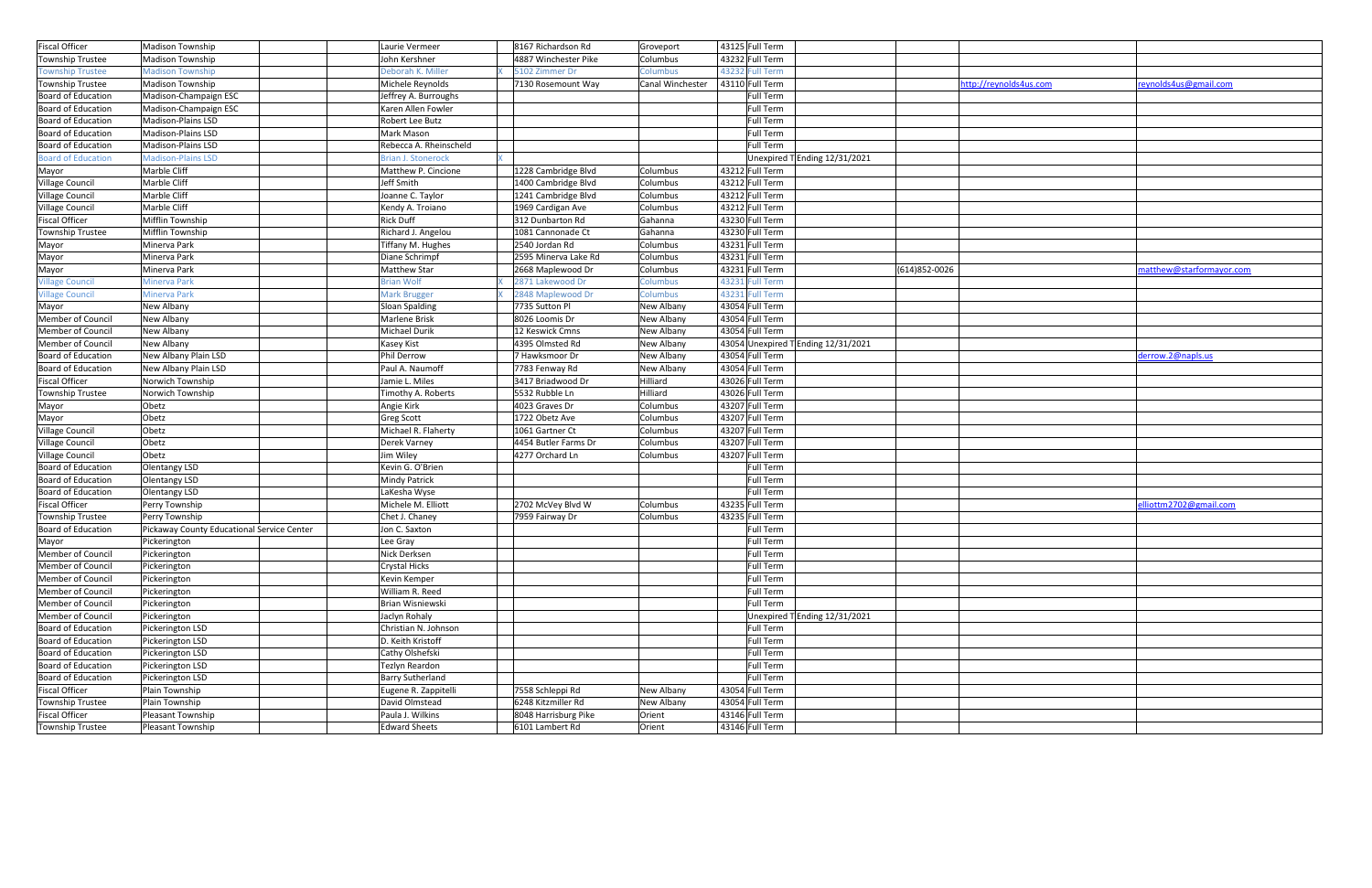| <b>Fiscal Officer</b>     | <b>Madison Township</b>                    | Laurie Vermeer                   | 8167 Richardson Rd   | Groveport                | 43125 Full Term                     |                |                        |                          |
|---------------------------|--------------------------------------------|----------------------------------|----------------------|--------------------------|-------------------------------------|----------------|------------------------|--------------------------|
| Township Trustee          | <b>Madison Township</b>                    | John Kershner                    | 4887 Winchester Pike | Columbus                 | 43232 Full Term                     |                |                        |                          |
| <b>Township Trustee</b>   | <b>Madison Township</b>                    | Deborah K. Miller                | 5102 Zimmer Dr       | Columbus                 | 43232 Full Term                     |                |                        |                          |
| Township Trustee          | <b>Madison Township</b>                    | Michele Reynolds                 | 7130 Rosemount Way   | Canal Winchester         | 43110 Full Term                     |                | http://reynolds4us.com | reynolds4us@gmail.com    |
| Board of Education        | Madison-Champaign ESC                      | Jeffrey A. Burroughs             |                      |                          | Full Term                           |                |                        |                          |
| Board of Education        | Madison-Champaign ESC                      | Karen Allen Fowler               |                      |                          | Full Term                           |                |                        |                          |
| Board of Education        | Madison-Plains LSD                         | Robert Lee Butz                  |                      |                          | Full Term                           |                |                        |                          |
| Board of Education        | <b>Madison-Plains LSD</b>                  | Mark Mason                       |                      |                          | Full Term                           |                |                        |                          |
| Board of Education        | Madison-Plains LSD                         | Rebecca A. Rheinscheld           |                      |                          | Full Term                           |                |                        |                          |
| <b>Board of Education</b> | <b>Madison-Plains LSD</b>                  | <b>Brian J. Stonerock</b>        |                      |                          | Unexpired T Ending 12/31/2021       |                |                        |                          |
| Mayor                     | Marble Cliff                               | Matthew P. Cincione              | 1228 Cambridge Blvd  | Columbus                 | 43212 Full Term                     |                |                        |                          |
| Village Council           | Marble Cliff                               | Jeff Smith                       | 1400 Cambridge Blvd  | Columbus                 | 43212 Full Term                     |                |                        |                          |
| Village Council           | Marble Cliff                               | Joanne C. Taylor                 | 1241 Cambridge Blvd  | Columbus                 | 43212 Full Term                     |                |                        |                          |
| Village Council           | Marble Cliff                               | Kendy A. Troiano                 | 1969 Cardigan Ave    | Columbus                 | 43212 Full Term                     |                |                        |                          |
| <b>Fiscal Officer</b>     | Mifflin Township                           | <b>Rick Duff</b>                 | 312 Dunbarton Rd     | Gahanna                  | 43230 Full Term                     |                |                        |                          |
| Township Trustee          | Mifflin Township                           | Richard J. Angelou               | 1081 Cannonade Ct    | Gahanna                  | 43230 Full Term                     |                |                        |                          |
| Mayor                     | Minerva Park                               | Tiffany M. Hughes                | 2540 Jordan Rd       | Columbus                 | 43231 Full Term                     |                |                        |                          |
| Mayor                     | Minerva Park                               | Diane Schrimpf                   | 2595 Minerva Lake Rd | Columbus                 | 43231 Full Term                     |                |                        |                          |
| Mayor                     | Minerva Park                               | <b>Matthew Star</b>              | 2668 Maplewood Dr    | Columbus                 | 43231 Full Term                     | (614) 852-0026 |                        | matthew@starformayor.com |
| <b>Village Council</b>    | <b>Minerva Park</b>                        | <b>Brian Wolf</b>                | 2871 Lakewood Dr     | Columbus                 | 43231 Full Term                     |                |                        |                          |
| <b>Village Council</b>    | <b>Minerva Park</b>                        | <b>Mark Brugger</b>              | 2848 Maplewood Dr    | Columbus                 | 43231 Full Term                     |                |                        |                          |
| Mayor                     | New Albany                                 | Sloan Spalding                   | 7735 Sutton Pl       | New Albany               | 43054 Full Term                     |                |                        |                          |
| Member of Council         | New Albany                                 | Marlene Brisk                    | 8026 Loomis Dr       | New Albany               | 43054 Full Term                     |                |                        |                          |
| Member of Council         | New Albany                                 | Michael Durik                    | 12 Keswick Cmns      | New Albany               | 43054 Full Term                     |                |                        |                          |
| Member of Council         | New Albany                                 |                                  | 4395 Olmsted Rd      |                          | 43054 Unexpired T Ending 12/31/2021 |                |                        |                          |
| Board of Education        | New Albany Plain LSD                       | <b>Kasey Kist</b><br>Phil Derrow | 7 Hawksmoor Dr       | New Albany<br>New Albany | 43054 Full Term                     |                |                        |                          |
| Board of Education        | New Albany Plain LSD                       | Paul A. Naumoff                  |                      |                          | 43054 Full Term                     |                |                        | derrow.2@napls.us        |
| <b>Fiscal Officer</b>     |                                            | Jamie L. Miles                   | 7783 Fenway Rd       | New Albany               | 43026 Full Term                     |                |                        |                          |
|                           | Norwich Township                           |                                  | 3417 Briadwood Dr    | Hilliard                 |                                     |                |                        |                          |
| Township Trustee          | Norwich Township                           | Timothy A. Roberts               | 5532 Rubble Ln       | Hilliard                 | 43026 Full Term                     |                |                        |                          |
| Mayor                     | Obetz                                      | Angie Kirk                       | 4023 Graves Dr       | Columbus                 | 43207 Full Term                     |                |                        |                          |
| Mayor                     | Obetz                                      | <b>Greg Scott</b>                | 1722 Obetz Ave       | Columbus                 | 43207 Full Term                     |                |                        |                          |
| Village Council           | Obetz                                      | Michael R. Flaherty              | 1061 Gartner Ct      | Columbus                 | 43207 Full Term                     |                |                        |                          |
| Village Council           | Obetz                                      | Derek Varney                     | 4454 Butler Farms Dr | Columbus                 | 43207 Full Term                     |                |                        |                          |
| <b>Village Council</b>    | Obetz                                      | Jim Wiley                        | 4277 Orchard Ln      | Columbus                 | 43207 Full Term                     |                |                        |                          |
| Board of Education        | Olentangy LSD                              | Kevin G. O'Brien                 |                      |                          | Full Term                           |                |                        |                          |
| Board of Education        | Olentangy LSD                              | <b>Mindy Patrick</b>             |                      |                          | Full Term                           |                |                        |                          |
| Board of Education        | <b>Olentangy LSD</b>                       | LaKesha Wyse                     |                      |                          | Full Term                           |                |                        |                          |
| <b>Fiscal Officer</b>     | Perry Township                             | Michele M. Elliott               | 2702 McVey Blvd W    | Columbus                 | 43235 Full Term                     |                |                        | elliottm2702@gmail.com   |
| Township Trustee          | Perry Township                             | Chet J. Chaney                   | 7959 Fairway Dr      | Columbus                 | 43235 Full Term                     |                |                        |                          |
| Board of Education        | Pickaway County Educational Service Center | Jon C. Saxton                    |                      |                          | Full Term                           |                |                        |                          |
| Mayor                     | Pickerington                               | Lee Gray                         |                      |                          | <b>Full Term</b>                    |                |                        |                          |
| Member of Council         | Pickerington                               | Nick Derksen                     |                      |                          | Full Term                           |                |                        |                          |
| Member of Council         | Pickerington                               | <b>Crystal Hicks</b>             |                      |                          | <b>Full Term</b>                    |                |                        |                          |
| Member of Council         | Pickerington                               | Kevin Kemper                     |                      |                          | <b>Full Term</b>                    |                |                        |                          |
| Member of Council         | Pickerington                               | William R. Reed                  |                      |                          | <b>Full Term</b>                    |                |                        |                          |
| Member of Council         | Pickerington                               | Brian Wisniewski                 |                      |                          | Full Term                           |                |                        |                          |
| Member of Council         | Pickerington                               | Jaclyn Rohaly                    |                      |                          | Unexpired T Ending 12/31/2021       |                |                        |                          |
| Board of Education        | Pickerington LSD                           | Christian N. Johnson             |                      |                          | Full Term                           |                |                        |                          |
| Board of Education        | Pickerington LSD                           | D. Keith Kristoff                |                      |                          | <b>Full Term</b>                    |                |                        |                          |
| Board of Education        | Pickerington LSD                           | Cathy Olshefski                  |                      |                          | <b>Full Term</b>                    |                |                        |                          |
| Board of Education        | Pickerington LSD                           | Tezlyn Reardon                   |                      |                          | <b>Full Term</b>                    |                |                        |                          |
| Board of Education        | Pickerington LSD                           | <b>Barry Sutherland</b>          |                      |                          | <b>Full Term</b>                    |                |                        |                          |
| <b>Fiscal Officer</b>     | Plain Township                             | Eugene R. Zappitelli             | 7558 Schleppi Rd     | New Albany               | 43054 Full Term                     |                |                        |                          |
| Township Trustee          | Plain Township                             | David Olmstead                   | 6248 Kitzmiller Rd   | New Albany               | 43054 Full Term                     |                |                        |                          |
| <b>Fiscal Officer</b>     | Pleasant Township                          | Paula J. Wilkins                 | 8048 Harrisburg Pike | Orient                   | 43146 Full Term                     |                |                        |                          |
| Township Trustee          | Pleasant Township                          | <b>Edward Sheets</b>             | 6101 Lambert Rd      | Orient                   | 43146 Full Term                     |                |                        |                          |

| Ids4us.com | reynolds4us@gmail.com    |
|------------|--------------------------|
|            |                          |
|            |                          |
|            |                          |
|            |                          |
|            |                          |
|            |                          |
|            |                          |
|            |                          |
|            |                          |
|            |                          |
|            |                          |
|            | matthew@starformayor.com |
|            |                          |
|            |                          |
|            |                          |
|            |                          |
|            |                          |
|            | derrow.2@napls.us        |
|            |                          |
|            |                          |
|            |                          |
|            |                          |
|            |                          |
|            |                          |
|            |                          |
|            |                          |
|            | elliottm2702@gmail.com   |
|            |                          |
|            |                          |
|            |                          |
|            |                          |
|            |                          |
|            |                          |
|            |                          |
|            |                          |
|            |                          |
|            |                          |
|            |                          |
|            |                          |
|            |                          |
|            |                          |
|            |                          |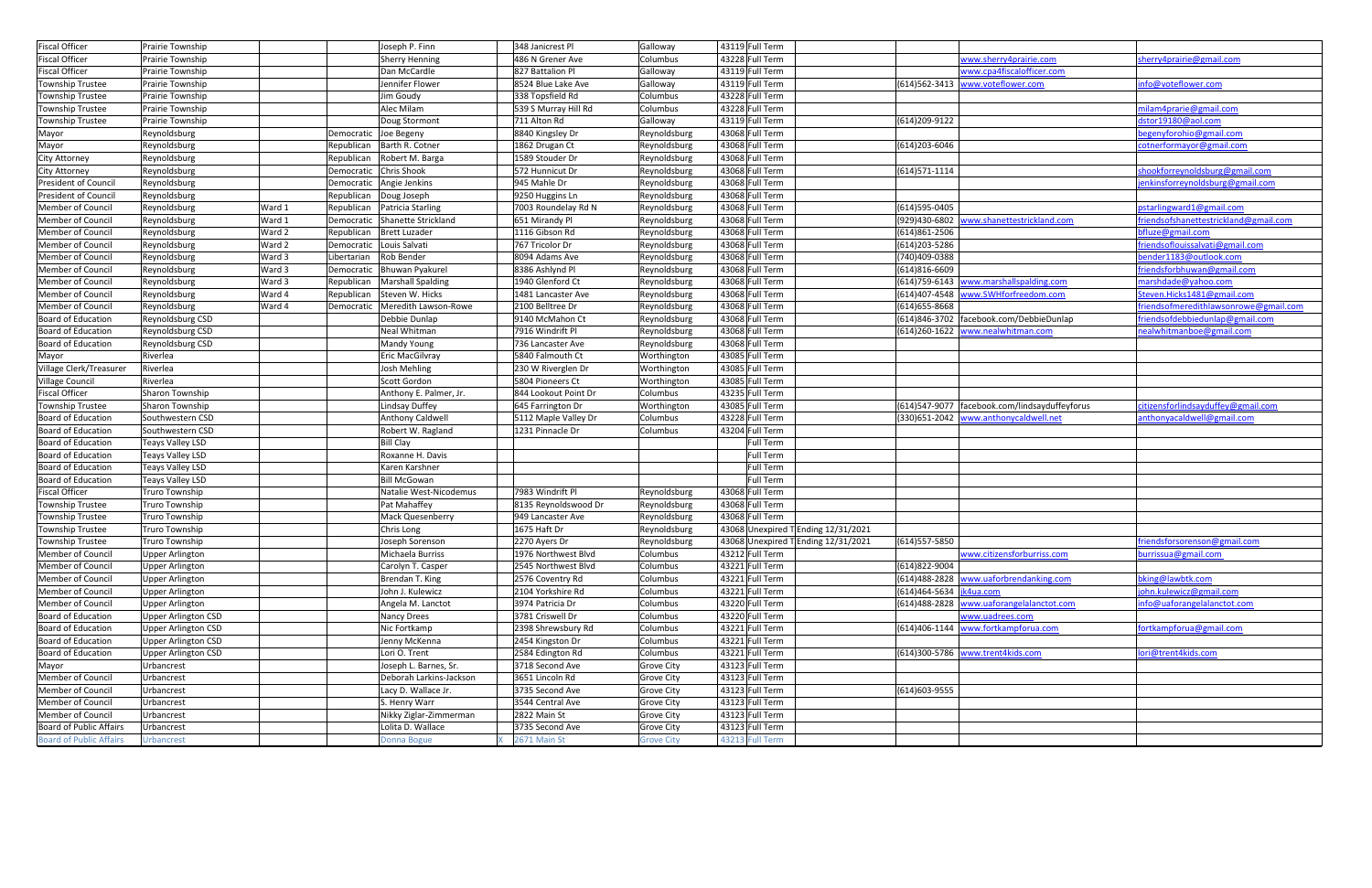| <b>Fiscal Officer</b>          | Prairie Township           |        |                       | Joseph P. Finn                    | 348 Janicrest Pl     | Galloway          | 43119 Full Term                     |                           |                                                 |                                          |
|--------------------------------|----------------------------|--------|-----------------------|-----------------------------------|----------------------|-------------------|-------------------------------------|---------------------------|-------------------------------------------------|------------------------------------------|
| <b>Fiscal Officer</b>          | Prairie Township           |        |                       | <b>Sherry Henning</b>             | 486 N Grener Ave     | Columbus          | 43228 Full Term                     |                           | www.sherry4prairie.com                          | sherry4prairie@gmail.com                 |
| <b>Fiscal Officer</b>          | Prairie Township           |        |                       | Dan McCardle                      | 827 Battalion Pl     | Galloway          | 43119 Full Term                     |                           | www.cpa4fiscalofficer.com                       |                                          |
| <b>Township Trustee</b>        | Prairie Township           |        |                       | Jennifer Flower                   | 8524 Blue Lake Ave   | Galloway          | 43119 Full Term                     |                           | (614)562-3413 www.voteflower.com                | info@voteflower.com                      |
| Township Trustee               | Prairie Township           |        |                       | Jim Goudy                         | 338 Topsfield Rd     | Columbus          | 43228 Full Term                     |                           |                                                 |                                          |
| <b>Township Trustee</b>        | Prairie Township           |        |                       | Alec Milam                        | 539 S Murray Hill Rd | Columbus          | 43228 Full Term                     |                           |                                                 | nilam4prarie@gmail.com                   |
| Township Trustee               | Prairie Township           |        |                       | Doug Stormont                     | 711 Alton Rd         | Galloway          | 43119 Full Term                     | (614)209-9122             |                                                 | dstor19180@aol.com                       |
| Mayor                          | Reynoldsburg               |        | Democratic Joe Begeny |                                   | 8840 Kingsley Dr     | Reynoldsburg      | 43068 Full Term                     |                           |                                                 | oegenyforohio@gmail.com                  |
| Mayor                          | Reynoldsburg               |        |                       | Republican Barth R. Cotner        | 1862 Drugan Ct       | Reynoldsburg      | 43068 Full Term                     | (614) 203-6046            |                                                 | cotnerformayor@gmail.com                 |
| <b>City Attorney</b>           | Reynoldsburg               |        |                       | Republican   Robert M. Barga      | 1589 Stouder Dr      | Reynoldsburg      | 43068 Full Term                     |                           |                                                 |                                          |
| <b>City Attorney</b>           | Reynoldsburg               |        |                       | Democratic Chris Shook            | 572 Hunnicut Dr      | Reynoldsburg      | 43068 Full Term                     | $(614)571-1114$           |                                                 | shookforreynoldsburg@gmail.com           |
| <b>President of Council</b>    | Reynoldsburg               |        |                       | Democratic Angie Jenkins          | 945 Mahle Dr         | Reynoldsburg      | 43068 Full Term                     |                           |                                                 | enkinsforreynoldsburg@gmail.com          |
| President of Council           | Reynoldsburg               |        |                       | Republican   Doug Joseph          | 9250 Huggins Ln      | Reynoldsburg      | 43068 Full Term                     |                           |                                                 |                                          |
| Member of Council              | Reynoldsburg               | Ward 1 |                       | Republican   Patricia Starling    | 7003 Roundelay Rd N  | Reynoldsburg      | 43068 Full Term                     | (614) 595-0405            |                                                 | pstarlingward1@gmail.com                 |
| Member of Council              | Reynoldsburg               | Ward 1 |                       | Democratic Shanette Strickland    | 651 Mirandy Pl       | Reynoldsburg      | 43068 Full Term                     | (929)430-6802             | www.shanettestrickland.com                      | friends of shanet testrickland@gmail.com |
| Member of Council              | Reynoldsburg               | Ward 2 |                       | Republican   Brett Luzader        | 1116 Gibson Rd       | Reynoldsburg      | 43068 Full Term                     | (614)861-2506             |                                                 | bfluze@gmail.com                         |
| Member of Council              | Reynoldsburg               | Ward 2 |                       | Democratic Louis Salvati          | 767 Tricolor Dr      | Reynoldsburg      | 43068 Full Term                     | (614) 203-5286            |                                                 | friends of louissal vati@gmail.com       |
| Member of Council              | Reynoldsburg               | Ward 3 |                       | Libertarian   Rob Bender          | 8094 Adams Ave       | Reynoldsburg      | 43068 Full Term                     | (740)409-0388             |                                                 | ender1183@outlook.com                    |
| Member of Council              | Reynoldsburg               | Ward 3 |                       | Democratic Bhuwan Pyakurel        | 8386 Ashlynd Pl      | Reynoldsburg      | 43068 Full Term                     | (614)816-6609             |                                                 | friendsforbhuwan@gmail.com               |
| Member of Council              | Reynoldsburg               | Ward 3 |                       | Republican   Marshall Spalding    | 1940 Glenford Ct     | Reynoldsburg      | 43068 Full Term                     | $(614)759-6143$           | www.marshallspalding.com                        | marshdade@yahoo.com                      |
| Member of Council              | Reynoldsburg               | Ward 4 | Republican            | Steven W. Hicks                   | 1481 Lancaster Ave   | Reynoldsburg      | 43068 Full Term                     | $(614)407 - 4548$         | www.SWHforfreedom.com                           | Steven.Hicks1481@gmail.com               |
| Member of Council              | Reynoldsburg               | Ward 4 |                       | Democratic   Meredith Lawson-Rowe | 2100 Belltree Dr     | Reynoldsburg      | 43068 Full Term                     | (614) 655-8668            |                                                 | friendsofmeredithlawsonrowe@gmail.com    |
| Board of Education             | Reynoldsburg CSD           |        |                       | Debbie Dunlap                     | 9140 McMahon Ct      | Reynoldsburg      | 43068 Full Term                     |                           | (614)846-3702 facebook.com/DebbieDunlap         | friendsofdebbiedunlap@gmail.com          |
| Board of Education             | Reynoldsburg CSD           |        |                       | Neal Whitman                      | 7916 Windrift Pl     | Reynoldsburg      | 43068 Full Term                     |                           | (614)260-1622 www.nealwhitman.com               | nealwhitmanboe@gmail.com                 |
| Board of Education             | Reynoldsburg CSD           |        |                       | Mandy Young                       | 736 Lancaster Ave    | Reynoldsburg      | 43068 Full Term                     |                           |                                                 |                                          |
| Mayor                          | Riverlea                   |        |                       | Eric MacGilvray                   | 5840 Falmouth Ct     | Worthington       | 43085 Full Term                     |                           |                                                 |                                          |
| Village Clerk/Treasurer        | Riverlea                   |        |                       | Josh Mehling                      | 230 W Riverglen Dr   | Worthington       | 43085 Full Term                     |                           |                                                 |                                          |
| <b>Village Council</b>         | Riverlea                   |        |                       | Scott Gordon                      | 5804 Pioneers Ct     | Worthington       | 43085 Full Term                     |                           |                                                 |                                          |
| <b>Fiscal Officer</b>          | <b>Sharon Township</b>     |        |                       | Anthony E. Palmer, Jr.            | 844 Lookout Point Dr | Columbus          | 43235 Full Term                     |                           |                                                 |                                          |
| Township Trustee               | Sharon Township            |        |                       | <b>Lindsay Duffey</b>             | 645 Farrington Dr    | Worthington       | 43085 Full Term                     |                           | (614)547-9077   facebook.com/lindsayduffeyforus | citizensforlindsayduffey@gmail.com       |
| Board of Education             | Southwestern CSD           |        |                       | <b>Anthony Caldwell</b>           | 5112 Maple Valley Dr | Columbus          | 43228 Full Term                     |                           | (330)651-2042 www.anthonycaldwell.net           | anthonyacaldwell@gmail.com               |
| Board of Education             | Southwestern CSD           |        |                       | Robert W. Ragland                 | 1231 Pinnacle Dr     | Columbus          | 43204 Full Term                     |                           |                                                 |                                          |
| Board of Education             | Teays Valley LSD           |        |                       | <b>Bill Clay</b>                  |                      |                   | Full Term                           |                           |                                                 |                                          |
| Board of Education             | <b>Teays Valley LSD</b>    |        |                       | Roxanne H. Davis                  |                      |                   | Full Term                           |                           |                                                 |                                          |
| Board of Education             | <b>Teays Valley LSD</b>    |        |                       | Karen Karshner                    |                      |                   | Full Term                           |                           |                                                 |                                          |
| Board of Education             | <b>Teays Valley LSD</b>    |        |                       | <b>Bill McGowan</b>               |                      |                   | Full Term                           |                           |                                                 |                                          |
| <b>Fiscal Officer</b>          | Truro Township             |        |                       | Natalie West-Nicodemus            | 7983 Windrift Pl     | Reynoldsburg      | 43068 Full Term                     |                           |                                                 |                                          |
| Township Trustee               | Truro Township             |        |                       | Pat Mahaffey                      | 8135 Reynoldswood Dr | Reynoldsburg      | 43068 Full Term                     |                           |                                                 |                                          |
| Township Trustee               | Truro Township             |        |                       | <b>Mack Quesenberry</b>           | 949 Lancaster Ave    | Reynoldsburg      | 43068 Full Term                     |                           |                                                 |                                          |
| Township Trustee               | Truro Township             |        |                       | Chris Long                        | 1675 Haft Dr         | Reynoldsburg      | 43068 Unexpired T Ending 12/31/2021 |                           |                                                 |                                          |
| Township Trustee               | Truro Township             |        |                       | Joseph Sorenson                   | 2270 Ayers Dr        | Reynoldsburg      | 43068 Unexpired T Ending 12/31/2021 | (614) 557-5850            |                                                 | friendsforsorenson@gmail.com             |
| <b>Member of Council</b>       | <b>Upper Arlington</b>     |        |                       | Michaela Burriss                  | 1976 Northwest Blvd  | Columbus          | 43212 Full Term                     |                           | www.citizensforburriss.com                      | burrissua@gmail.com                      |
| Member of Council              | <b>Upper Arlington</b>     |        |                       | Carolyn T. Casper                 | 2545 Northwest Blvd  | Columbus          | 43221 Full Term                     | (614)822-9004             |                                                 |                                          |
| Member of Council              | <b>Upper Arlington</b>     |        |                       | Brendan T. King                   | 2576 Coventry Rd     | Columbus          | 43221 Full Term                     | $(614)488 - 2828$         | www.uaforbrendanking.com                        | bking@lawbtk.com                         |
| Member of Council              | <b>Upper Arlington</b>     |        |                       | John J. Kulewicz                  | 2104 Yorkshire Rd    | Columbus          | 43221 Full Term                     | (614)464-5634   jk4ua.com |                                                 | john.kulewicz@gmail.com                  |
| Member of Council              | Upper Arlington            |        |                       | Angela M. Lanctot                 | 3974 Patricia Dr     | Columbus          | 43220 Full Term                     |                           | (614)488-2828 www.uaforangelalanctot.com        | info@uaforangelalanctot.com              |
| Board of Education             | <b>Upper Arlington CSD</b> |        |                       | Nancy Drees                       | 3781 Criswell Dr     | Columbus          | 43220 Full Term                     |                           | www.uadrees.com                                 |                                          |
| Board of Education             | <b>Upper Arlington CSD</b> |        |                       | Nic Fortkamp                      | 2398 Shrewsbury Rd   | Columbus          | 43221 Full Term                     |                           | (614)406-1144 www.fortkampforua.com             | fortkampforua@gmail.com                  |
| Board of Education             | <b>Upper Arlington CSD</b> |        |                       | Jenny McKenna                     | 2454 Kingston Dr     | Columbus          | 43221 Full Term                     |                           |                                                 |                                          |
| Board of Education             | <b>Upper Arlington CSD</b> |        |                       | Lori O. Trent                     | 2584 Edington Rd     | Columbus          | 43221 Full Term                     |                           | (614)300-5786 www.trent4kids.com                | lori@trent4kids.com                      |
| Mayor                          | Urbancrest                 |        |                       | Joseph L. Barnes, Sr.             | 3718 Second Ave      | <b>Grove City</b> | 43123 Full Term                     |                           |                                                 |                                          |
| Member of Council              | Urbancrest                 |        |                       | Deborah Larkins-Jackson           | 3651 Lincoln Rd      | <b>Grove City</b> | 43123 Full Term                     |                           |                                                 |                                          |
| Member of Council              | Urbancrest                 |        |                       | Lacy D. Wallace Jr.               | 3735 Second Ave      | <b>Grove City</b> | 43123 Full Term                     | (614) 603-9555            |                                                 |                                          |
| Member of Council              | Urbancrest                 |        |                       | S. Henry Warr                     | 3544 Central Ave     | <b>Grove City</b> | 43123 Full Term                     |                           |                                                 |                                          |
| Member of Council              | Urbancrest                 |        |                       | Nikky Ziglar-Zimmerman            | 2822 Main St         | <b>Grove City</b> | 43123 Full Term                     |                           |                                                 |                                          |
| Board of Public Affairs        | Urbancrest                 |        |                       | Lolita D. Wallace                 | 3735 Second Ave      | <b>Grove City</b> | 43123 Full Term                     |                           |                                                 |                                          |
| <b>Board of Public Affairs</b> | Urbancrest                 |        |                       | <b>Donna Bogue</b>                | 2671 Main St         | <b>Grove City</b> | 43213 Full Term                     |                           |                                                 |                                          |